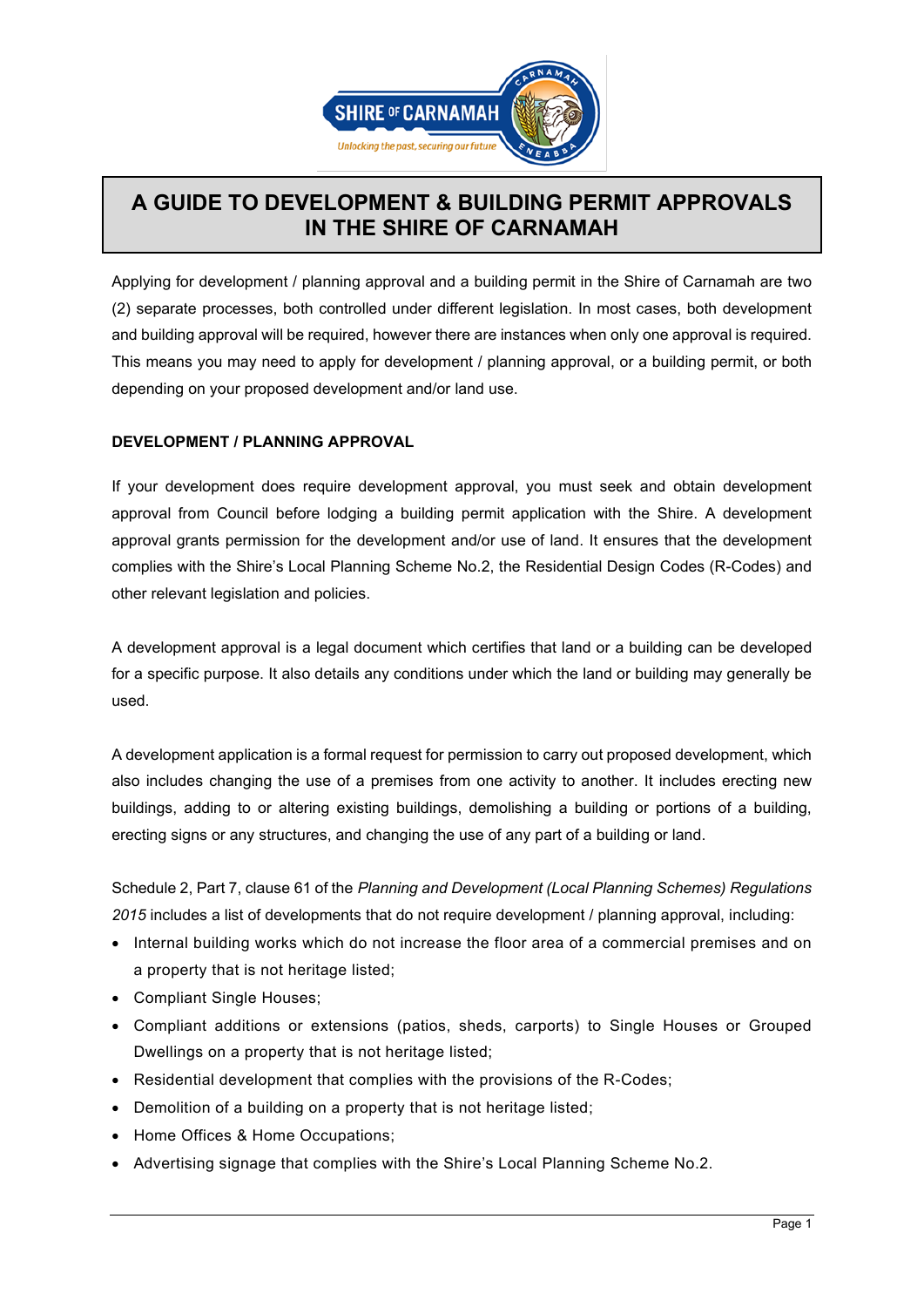

## **A GUIDE TO DEVELOPMENT & BUILDING PERMIT APPROVALS IN THE SHIRE OF CARNAMAH**

Applying for development / planning approval and a building permit in the Shire of Carnamah are two (2) separate processes, both controlled under different legislation. In most cases, both development and building approval will be required, however there are instances when only one approval is required. This means you may need to apply for development / planning approval, or a building permit, or both depending on your proposed development and/or land use.

## **DEVELOPMENT / PLANNING APPROVAL**

If your development does require development approval, you must seek and obtain development approval from Council before lodging a building permit application with the Shire. A development approval grants permission for the development and/or use of land. It ensures that the development complies with the Shire's Local Planning Scheme No.2, the Residential Design Codes (R-Codes) and other relevant legislation and policies.

A development approval is a legal document which certifies that land or a building can be developed for a specific purpose. It also details any conditions under which the land or building may generally be used.

A development application is a formal request for permission to carry out proposed development, which also includes changing the use of a premises from one activity to another. It includes erecting new buildings, adding to or altering existing buildings, demolishing a building or portions of a building, erecting signs or any structures, and changing the use of any part of a building or land.

Schedule 2, Part 7, clause 61 of the *[Planning and Development \(Local Planning Schemes\) Regulations](https://www.slp.wa.gov.au/legislation/statutes.nsf/main_mrtitle_13670_homepage.html)  [2015](https://www.slp.wa.gov.au/legislation/statutes.nsf/main_mrtitle_13670_homepage.html)* includes a list of developments that do not require development / planning approval, including:

- Internal building works which do not increase the floor area of a commercial premises and on a property that is not heritage listed;
- Compliant Single Houses;
- Compliant additions or extensions (patios, sheds, carports) to Single Houses or Grouped Dwellings on a property that is not heritage listed;
- Residential development that complies with the provisions of the R-Codes;
- Demolition of a building on a property that is not heritage listed;
- Home Offices & Home Occupations;
- Advertising signage that complies with the Shire's Local Planning Scheme No.2.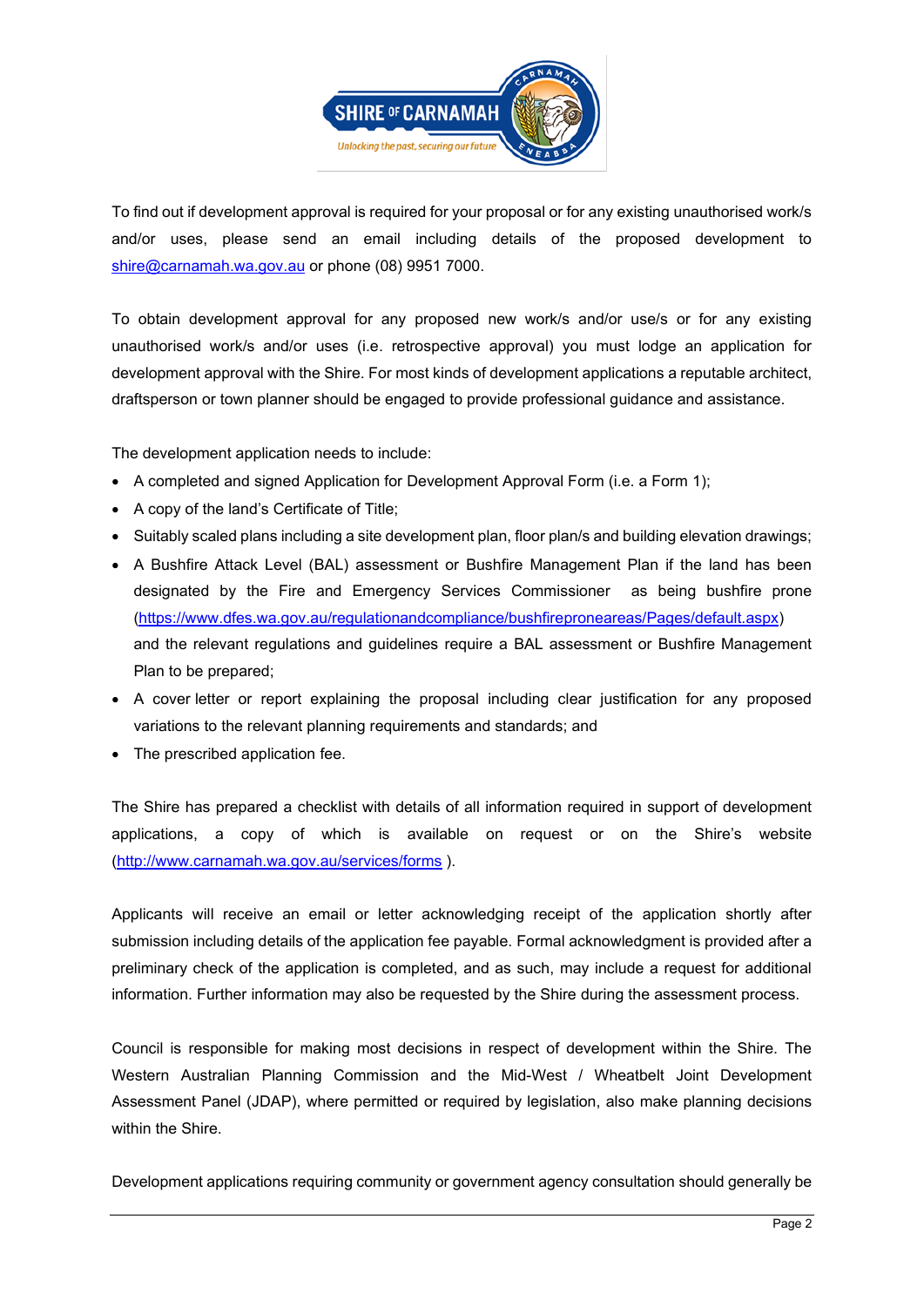

To find out if development approval is required for your proposal or for any existing unauthorised work/s and/or uses, please send an email including details of the proposed development to [shire@carnamah.wa.gov.au](mailto:shire@carnamah.wa.gov.au) or phone (08) 9951 7000.

To obtain development approval for any proposed new work/s and/or use/s or for any existing unauthorised work/s and/or uses (i.e. retrospective approval) you must lodge an application for development approval with the Shire. For most kinds of development applications a reputable architect, draftsperson or town planner should be engaged to provide professional guidance and assistance.

The development application needs to include:

- A completed and signed [Application for Development Approval Form](https://southperth.wa.gov.au/docs/default-source/4-develop/development-applications/application-process/application-for-development-approval-form.pdf?sfvrsn=4daffdbd_14) (i.e. a Form 1);
- A copy of the land's Certificate of Title;
- Suitably scaled plans including a site development plan, floor plan/s and building elevation drawings;
- A Bushfire Attack Level (BAL) assessment or Bushfire Management Plan if the land has been designated by the Fire and Emergency Services Commissioner as being bushfire prone [\(https://www.dfes.wa.gov.au/regulationandcompliance/bushfireproneareas/Pages/default.aspx\)](https://www.dfes.wa.gov.au/regulationandcompliance/bushfireproneareas/Pages/default.aspx) and the relevant regulations and guidelines require a BAL assessment or Bushfire Management Plan to be prepared;
- A cover letter or report explaining the proposal including clear justification for any proposed variations to the relevant planning requirements and standards; and
- The prescribed application fee.

The Shire has prepared a checklist with details of all information required in support of development applications, a copy of which is available on request or on the Shire's website [\(http://www.carnamah.wa.gov.au/services/forms](http://www.carnamah.wa.gov.au/services/forms) ).

Applicants will receive an email or letter acknowledging receipt of the application shortly after submission including details of the application fee payable. Formal acknowledgment is provided after a preliminary check of the application is completed, and as such, may include a request for additional information. Further information may also be requested by the Shire during the assessment process.

Council is responsible for making most decisions in respect of development within the Shire. The Western Australian Planning Commission and the Mid-West / Wheatbelt Joint Development Assessment Panel (JDAP), where permitted or required by legislation, also make planning decisions within the Shire.

Development applications requiring community or government agency consultation should generally be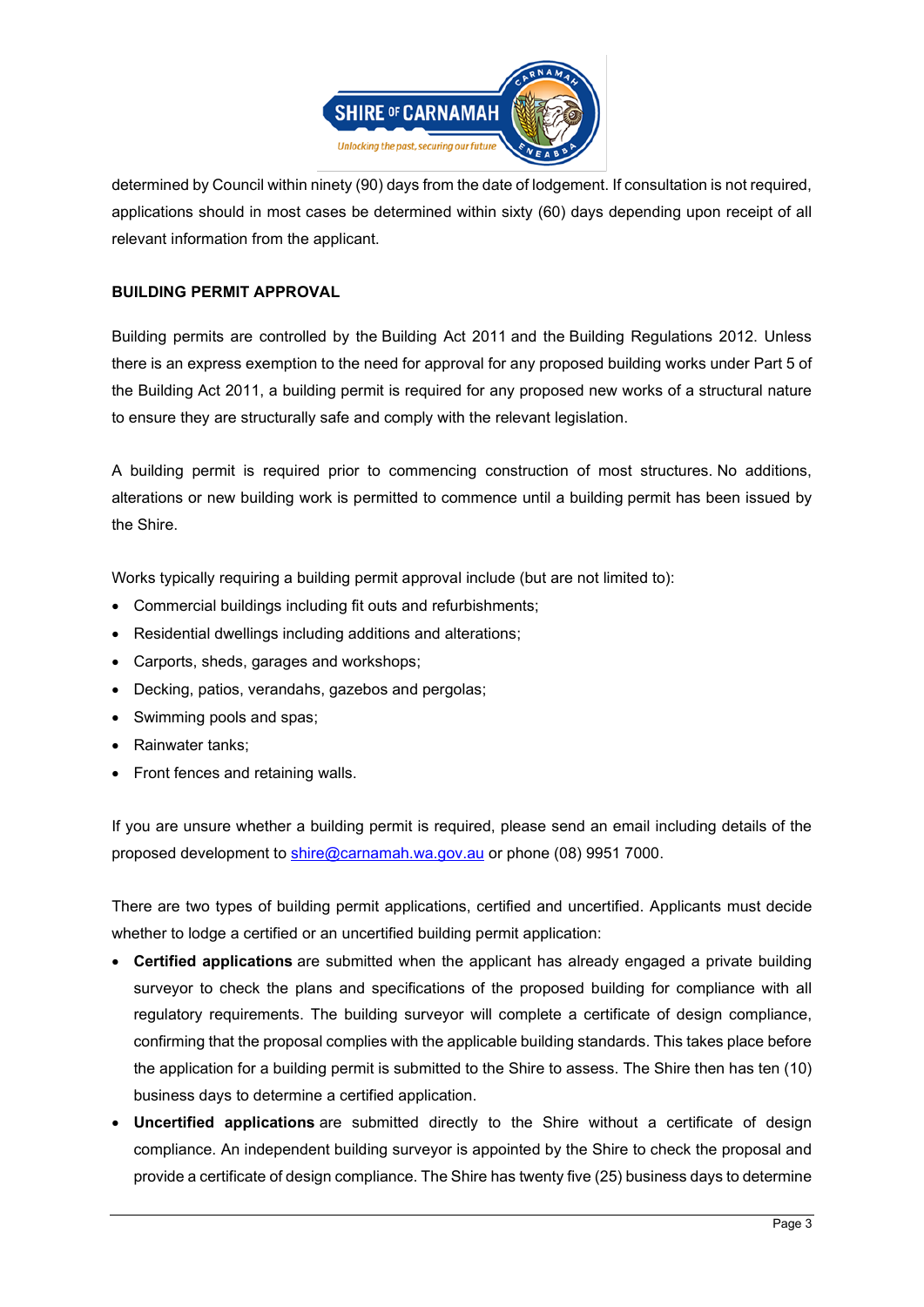

determined by Council within ninety (90) days from the date of lodgement. If consultation is not required, applications should in most cases be determined within sixty (60) days depending upon receipt of all relevant information from the applicant.

## **BUILDING PERMIT APPROVAL**

Building permits are controlled by the [Building Act 2011](https://www.slp.wa.gov.au/legislation/statutes.nsf/main_mrtitle_12333_homepage.html) and the Building [Regulations 2012.](https://www.slp.wa.gov.au/legislation/statutes.nsf/main_mrtitle_12901_homepage.html) Unless there is an express exemption to the need for approval for any proposed building works under Part 5 of the Building Act 2011, a building permit is required for any proposed new works of a structural nature to ensure they are structurally safe and comply with the relevant legislation.

A building permit is required prior to commencing construction of most structures. No additions, alterations or new building work is permitted to commence until a building permit has been issued by the Shire.

Works typically requiring a building permit approval include (but are not limited to):

- Commercial buildings including fit outs and refurbishments;
- Residential dwellings including additions and alterations;
- Carports, sheds, garages and workshops;
- Decking, patios, verandahs, gazebos and pergolas;
- Swimming pools and spas;
- Rainwater tanks;
- Front fences and retaining walls.

If you are unsure whether a building permit is required, please send an email including details of the proposed development to [shire@carnamah.wa.gov.au](mailto:shire@carnamah.wa.gov.au) or phone (08) 9951 7000.

There are two types of building permit applications, certified and uncertified. Applicants must decide whether to lodge a certified or an uncertified building permit application:

- **Certified applications** are submitted when the applicant has already engaged a private building surveyor to check the plans and specifications of the proposed building for compliance with all regulatory requirements. The building surveyor will complete a certificate of design compliance, confirming that the proposal complies with the applicable building standards. This takes place before the application for a building permit is submitted to the Shire to assess. The Shire then has ten (10) business days to determine a certified application.
- **Uncertified applications** are submitted directly to the Shire without a certificate of design compliance. An independent building surveyor is appointed by the Shire to check the proposal and provide a certificate of design compliance. The Shire has twenty five (25) business days to determine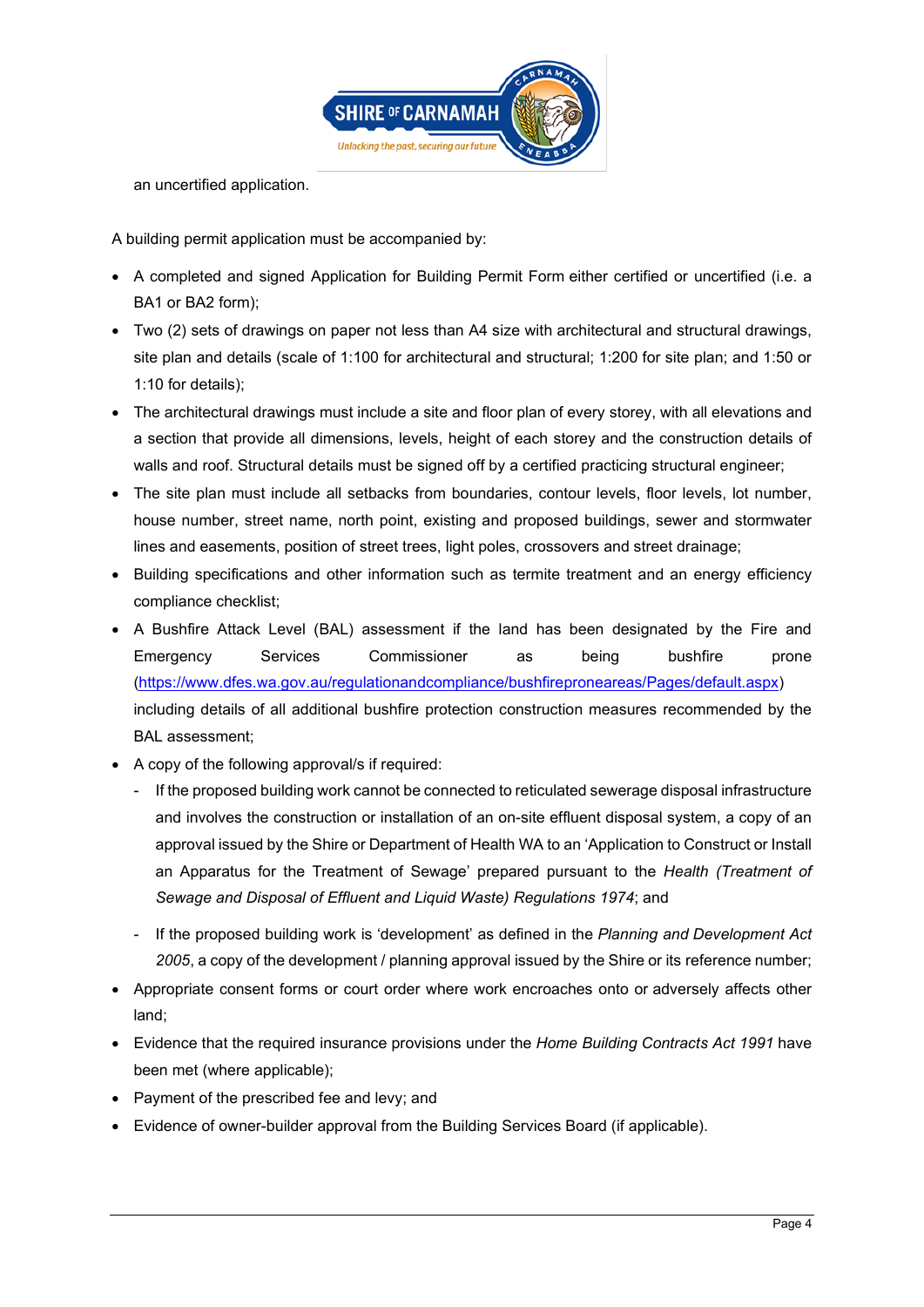

an uncertified application.

A building permit application must be accompanied by:

- A completed and signed [Application for Building Permit Form](https://www.commerce.wa.gov.au/building-commission/building-approval-forms-0) either certified or uncertified (i.e. a BA1 or BA2 form);
- Two (2) sets of drawings on paper not less than A4 size with architectural and structural drawings, site plan and details (scale of 1:100 for architectural and structural; 1:200 for site plan; and 1:50 or 1:10 for details);
- The architectural drawings must include a site and floor plan of every storey, with all elevations and a section that provide all dimensions, levels, height of each storey and the construction details of walls and roof. Structural details must be signed off by a certified practicing structural engineer;
- The site plan must include all setbacks from boundaries, contour levels, floor levels, lot number, house number, street name, north point, existing and proposed buildings, sewer and stormwater lines and easements, position of street trees, light poles, crossovers and street drainage;
- Building specifications and other information such as termite treatment and an energy efficiency compliance checklist;
- A Bushfire Attack Level (BAL) assessment if the land has been designated by the Fire and Emergency Services Commissioner as being bushfire prone [\(https://www.dfes.wa.gov.au/regulationandcompliance/bushfireproneareas/Pages/default.aspx\)](https://www.dfes.wa.gov.au/regulationandcompliance/bushfireproneareas/Pages/default.aspx) including details of all additional bushfire protection construction measures recommended by the BAL assessment;
- A copy of the following approval/s if required:
	- If the proposed building work cannot be connected to reticulated sewerage disposal infrastructure and involves the construction or installation of an on-site effluent disposal system, a copy of an approval issued by the Shire or Department of Health WA to an 'Application to Construct or Install an Apparatus for the Treatment of Sewage' prepared pursuant to the *Health (Treatment of Sewage and Disposal of Effluent and Liquid Waste) Regulations 1974*; and
	- If the proposed building work is 'development' as defined in the *Planning and Development Act 2005*, a copy of the development / planning approval issued by the Shire or its reference number;
- Appropriate consent forms or court order where work encroaches onto or adversely affects other land;
- Evidence that the required insurance provisions under the *Home Building Contracts Act 1991* have been met (where applicable);
- Payment of the prescribed fee and levy; and
- Evidence of owner-builder approval from the Building Services Board (if applicable).